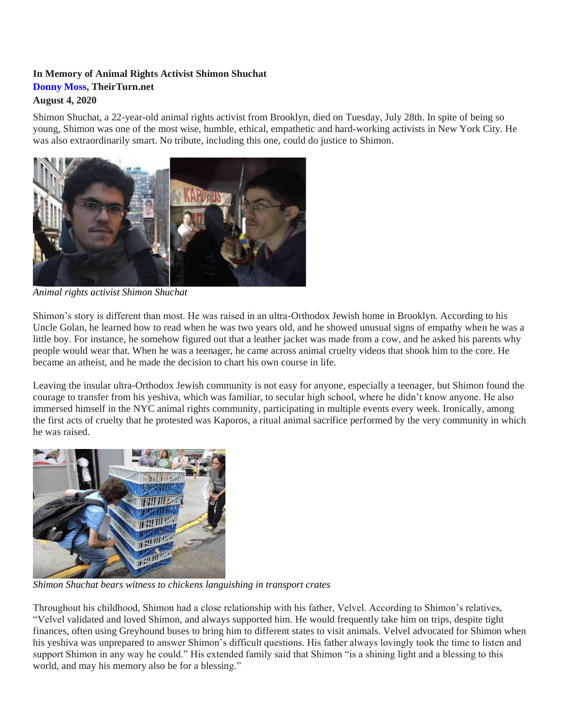## **In Memory of Animal Rights Activist Shimon Shuchat [Donny Moss,](https://theirturn.net/author/donny/) TheirTurn.net August 4, 2020**

Shimon Shuchat, a 22-year-old animal rights activist from Brooklyn, died on Tuesday, July 28th. In spite of being so young, Shimon was one of the most wise, humble, ethical, empathetic and hard-working activists in New York City. He was also extraordinarily smart. No tribute, including this one, could do justice to Shimon.



*Animal rights activist Shimon Shuchat*

Shimon's story is different than most. He was raised in an ultra-Orthodox Jewish home in Brooklyn. According to his Uncle Golan, he learned how to read when he was two years old, and he showed unusual signs of empathy when he was a little boy. For instance, he somehow figured out that a leather jacket was made from a cow, and he asked his parents why people would wear that. When he was a teenager, he came across animal cruelty videos that shook him to the core. He became an atheist, and he made the decision to chart his own course in life.

Leaving the insular ultra-Orthodox Jewish community is not easy for anyone, especially a teenager, but Shimon found the courage to transfer from his yeshiva, which was familiar, to secular high school, where he didn't know anyone. He also immersed himself in the NYC animal rights community, participating in multiple events every week. Ironically, among the first acts of cruelty that he protested was Kaporos, a ritual animal sacrifice performed by the very community in which he was raised.



*Shimon Shuchat bears witness to chickens languishing in transport crates*

Throughout his childhood, Shimon had a close relationship with his father, Velvel. According to Shimon's relatives, "Velvel validated and loved Shimon, and always supported him. He would frequently take him on trips, despite tight finances, often using Greyhound buses to bring him to different states to visit animals. Velvel advocated for Shimon when his yeshiva was unprepared to answer Shimon's difficult questions. His father always lovingly took the time to listen and support Shimon in any way he could." His extended family said that Shimon "is a shining light and a blessing to this world, and may his memory also be for a blessing."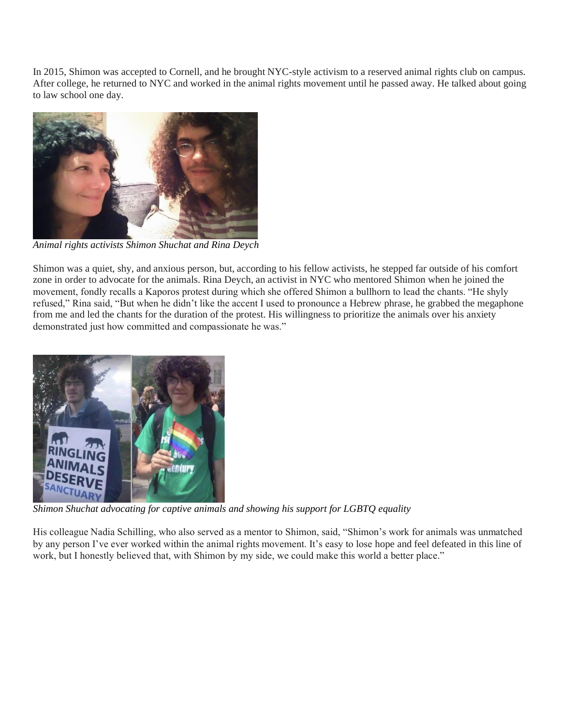In 2015, Shimon was accepted to Cornell, and he brought NYC-style activism to a reserved animal rights club on campus. After college, he returned to NYC and worked in the animal rights movement until he passed away. He talked about going to law school one day.



*Animal rights activists Shimon Shuchat and Rina Deych*

Shimon was a quiet, shy, and anxious person, but, according to his fellow activists, he stepped far outside of his comfort zone in order to advocate for the animals. Rina Deych, an activist in NYC who mentored Shimon when he joined the movement, fondly recalls a Kaporos protest during which she offered Shimon a bullhorn to lead the chants. "He shyly refused," Rina said, "But when he didn't like the accent I used to pronounce a Hebrew phrase, he grabbed the megaphone from me and led the chants for the duration of the protest. His willingness to prioritize the animals over his anxiety demonstrated just how committed and compassionate he was."



*Shimon Shuchat advocating for captive animals and showing his support for LGBTQ equality*

His colleague Nadia Schilling, who also served as a mentor to Shimon, said, "Shimon's work for animals was unmatched by any person I've ever worked within the animal rights movement. It's easy to lose hope and feel defeated in this line of work, but I honestly believed that, with Shimon by my side, we could make this world a better place."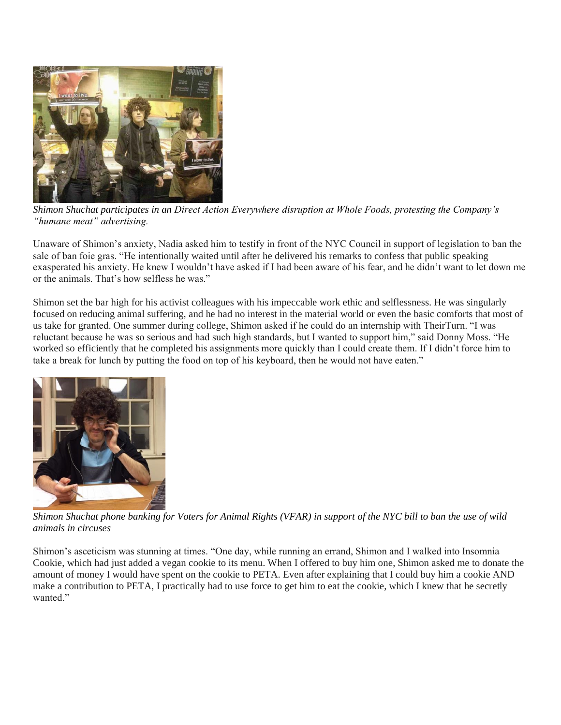

*Shimon Shuchat participates in an Direct Action Everywhere disruption at Whole Foods, protesting the Company's "humane meat" advertising.*

Unaware of Shimon's anxiety, Nadia asked him to testify in front of the NYC Council in support of legislation to ban the sale of ban foie gras. "He intentionally waited until after he delivered his remarks to confess that public speaking exasperated his anxiety. He knew I wouldn't have asked if I had been aware of his fear, and he didn't want to let down me or the animals. That's how selfless he was."

Shimon set the bar high for his activist colleagues with his impeccable work ethic and selflessness. He was singularly focused on reducing animal suffering, and he had no interest in the material world or even the basic comforts that most of us take for granted. One summer during college, Shimon asked if he could do an internship with TheirTurn. "I was reluctant because he was so serious and had such high standards, but I wanted to support him," said Donny Moss. "He worked so efficiently that he completed his assignments more quickly than I could create them. If I didn't force him to take a break for lunch by putting the food on top of his keyboard, then he would not have eaten."



*Shimon Shuchat phone banking for Voters for Animal Rights (VFAR) in support of the NYC bill to ban the use of wild animals in circuses*

Shimon's asceticism was stunning at times. "One day, while running an errand, Shimon and I walked into Insomnia Cookie, which had just added a vegan cookie to its menu. When I offered to buy him one, Shimon asked me to donate the amount of money I would have spent on the cookie to PETA. Even after explaining that I could buy him a cookie AND make a contribution to PETA, I practically had to use force to get him to eat the cookie, which I knew that he secretly wanted."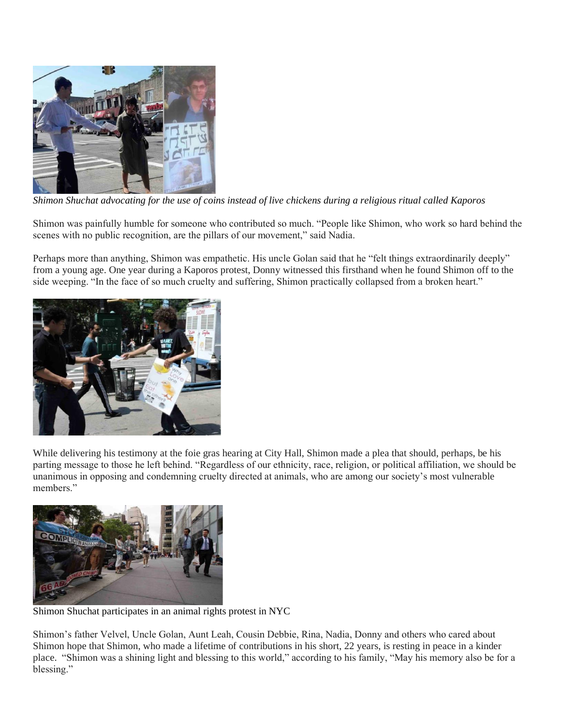

*Shimon Shuchat advocating for the use of coins instead of live chickens during a religious ritual called Kaporos*

Shimon was painfully humble for someone who contributed so much. "People like Shimon, who work so hard behind the scenes with no public recognition, are the pillars of our movement," said Nadia.

Perhaps more than anything, Shimon was empathetic. His uncle Golan said that he "felt things extraordinarily deeply" from a young age. One year during a Kaporos protest, Donny witnessed this firsthand when he found Shimon off to the side weeping. "In the face of so much cruelty and suffering, Shimon practically collapsed from a broken heart."



While delivering his testimony at the foie gras hearing at City Hall, Shimon made a plea that should, perhaps, be his parting message to those he left behind. "Regardless of our ethnicity, race, religion, or political affiliation, we should be unanimous in opposing and condemning cruelty directed at animals, who are among our society's most vulnerable members."



Shimon Shuchat participates in an animal rights protest in NYC

Shimon's father Velvel, Uncle Golan, Aunt Leah, Cousin Debbie, Rina, Nadia, Donny and others who cared about Shimon hope that Shimon, who made a lifetime of contributions in his short, 22 years, is resting in peace in a kinder place. "Shimon was a shining light and blessing to this world," according to his family, "May his memory also be for a blessing."